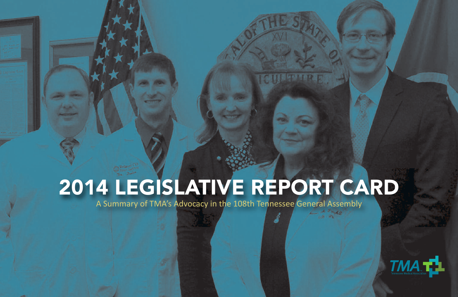## 2014 LEGISLATIVE REPORT CARD

A Summary of TMA's Advocacy in the 108th Tennessee General Assembly

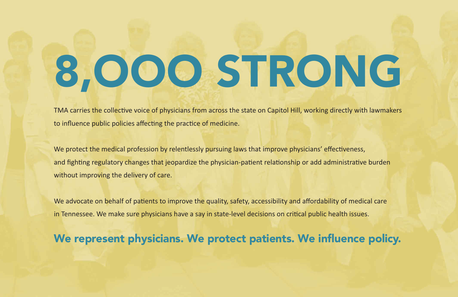# 8,OOO STRONG

TMA carries the collective voice of physicians from across the state on Capitol Hill, working directly with lawmakers to influence public policies affecting the practice of medicine.

We protect the medical profession by relentlessly pursuing laws that improve physicians' effectiveness, and fighting regulatory changes that jeopardize the physician-patient relationship or add administrative burden without improving the delivery of care.

We advocate on behalf of patients to improve the quality, safety, accessibility and affordability of medical care in Tennessee. We make sure physicians have a say in state-level decisions on critical public health issues.

### We represent physicians. We protect patients. We influence policy.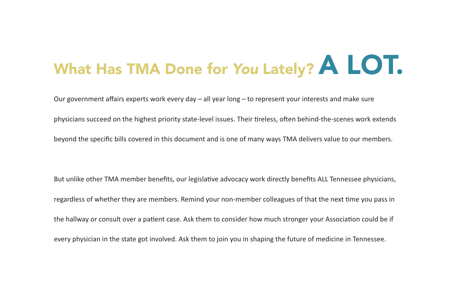# What Has TMA Done for *You* Lately? **A LOT.**

Our government affairs experts work every day – all year long – to represent your interests and make sure

physicians succeed on the highest priority state-level issues. Their tireless, often behind-the-scenes work extends

beyond the specific bills covered in this document and is one of many ways TMA delivers value to our members.

But unlike other TMA member benefits, our legislative advocacy work directly benefits ALL Tennessee physicians, regardless of whether they are members. Remind your non-member colleagues of that the next time you pass in the hallway or consult over a patient case. Ask them to consider how much stronger your Association could be if every physician in the state got involved. Ask them to join you in shaping the future of medicine in Tennessee.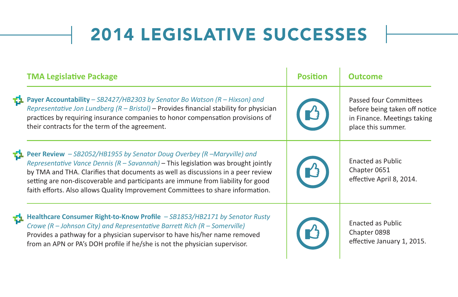### 2014 LEGISLATIVE SUCCESSES

|    | <b>TMA Legislative Package</b>                                                                                                                                                                                                                                                                                                                                                                                          | <b>Position</b> | <b>Outcome</b>                                                                                                      |
|----|-------------------------------------------------------------------------------------------------------------------------------------------------------------------------------------------------------------------------------------------------------------------------------------------------------------------------------------------------------------------------------------------------------------------------|-----------------|---------------------------------------------------------------------------------------------------------------------|
|    | <b>The Payer Accountability</b> - SB2427/HB2303 by Senator Bo Watson (R - Hixson) and<br>Representative Jon Lundberg $(R - Bristol) -$ Provides financial stability for physician<br>practices by requiring insurance companies to honor compensation provisions of<br>their contracts for the term of the agreement.                                                                                                   |                 | <b>Passed four Committees</b><br>before being taken off notice<br>in Finance. Meetings taking<br>place this summer. |
| O. | Peer Review - SB2052/HB1955 by Senator Doug Overbey (R-Maryville) and<br>Representative Vance Dennis $(R - Savannah) -$ This legislation was brought jointly<br>by TMA and THA. Clarifies that documents as well as discussions in a peer review<br>setting are non-discoverable and participants are immune from liability for good<br>faith efforts. Also allows Quality Improvement Committees to share information. |                 | <b>Enacted as Public</b><br>Chapter 0651<br>effective April 8, 2014.                                                |
| Q. | Healthcare Consumer Right-to-Know Profile - SB1853/HB2171 by Senator Rusty<br>Crowe $(R -$ Johnson City) and Representative Barrett Rich $(R -$ Somerville)<br>Provides a pathway for a physician supervisor to have his/her name removed<br>from an APN or PA's DOH profile if he/she is not the physician supervisor.                                                                                                 |                 | <b>Enacted as Public</b><br>Chapter 0898<br>effective January 1, 2015.                                              |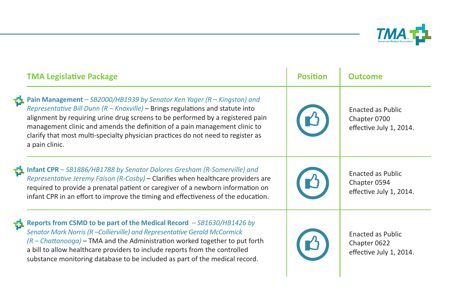

|    | <b>TMA Legislative Package</b>                                                                                                                                                                                                                                                                                                                                                                                                       | <b>Position</b> | Outcome                                                             |
|----|--------------------------------------------------------------------------------------------------------------------------------------------------------------------------------------------------------------------------------------------------------------------------------------------------------------------------------------------------------------------------------------------------------------------------------------|-----------------|---------------------------------------------------------------------|
| o. | Pain Management - $SB2000/HB1939$ by Senator Ken Yager (R - Kingston) and<br>Representative Bill Dunn ( $R -$ Knoxville) – Brings regulations and statute into<br>alignment by requiring urine drug screens to be performed by a registered pain<br>management clinic and amends the definition of a pain management clinic to<br>clarify that most multi-specialty physician practices do not need to register as<br>a pain clinic. |                 | <b>Enacted as Public</b><br>Chapter 0700<br>effective July 1, 2014. |
| Ф  | Infant CPR - SB1886/HB1788 by Senator Dolores Gresham (R-Somerville) and<br>Representative Jeremy Faison (R-Cosby) - Clarifies when healthcare providers are<br>required to provide a prenatal patient or caregiver of a newborn information on<br>infant CPR in an effort to improve the timing and effectiveness of the education.                                                                                                 |                 | <b>Enacted as Public</b><br>Chapter 0594<br>effective July 1, 2014. |
| o  | Reports from CSMD to be part of the Medical Record - SB1630/HB1426 by<br>Senator Mark Norris (R-Collierville) and Representative Gerald McCormick<br>$(R - Chattanooga)$ – TMA and the Administration worked together to put forth<br>a bill to allow healthcare providers to include reports from the controlled<br>substance monitoring database to be included as part of the medical record.                                     |                 | Enacted as Public<br>Chapter 0622<br>effective July 1, 2014.        |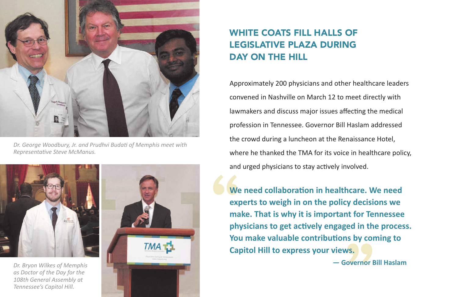

*Dr. George Woodbury, Jr. and Prudhvi Budati of Memphis meet with Representative Steve McManus.*



*as Doctor of the Day for the 108th General Assembly at Tennessee's Capitol Hill.*



### WHITE COATS FILL HALLS OF LEGISLATIVE PLAZA DURING DAY ON THE HILL

Approximately 200 physicians and other healthcare leaders convened in Nashville on March 12 to meet directly with lawmakers and discuss major issues affecting the medical profession in Tennessee. Governor Bill Haslam addressed the crowd during a luncheon at the Renaissance Hotel, where he thanked the TMA for its voice in healthcare policy, and urged physicians to stay actively involved.

**1**<br>
We rexpe<br>
mak<br>
phys<br>
You **make. That is why it is important for Tennessee<br>
<b>physicians to get actively engaged in the proces**<br> **You make valuable contributions by coming to<br>
Capitol Hill to express your views.<br>
— Governor Bill Haslam We need collaboration in healthcare. We need experts to weigh in on the policy decisions we physicians to get actively engaged in the process. You make valuable contributions by coming to Capitol Hill to express your views.**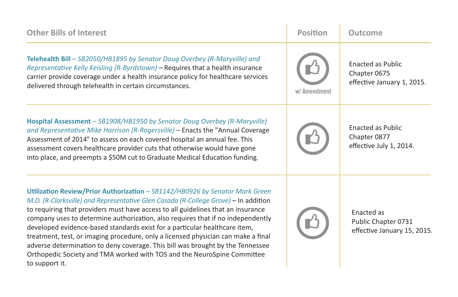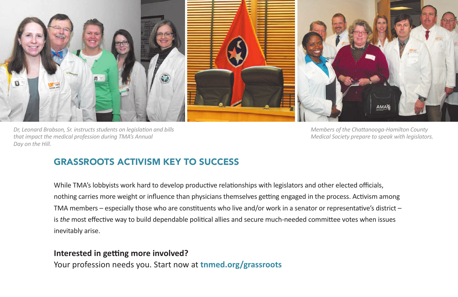

*Dr, Leonard Brabson, Sr. instructs students on legislation and bills that impact the medical profession during TMA's Annual Day on the Hill.*

*Members of the Chattanooga-Hamilton County Medical Society prepare to speak with legislators.*

### GRASSROOTS ACTIVISM KEY TO SUCCESS

While TMA's lobbyists work hard to develop productive relationships with legislators and other elected officials, nothing carries more weight or influence than physicians themselves getting engaged in the process. Activism among TMA members – especially those who are constituents who live and/or work in a senator or representative's district – is *the* most effective way to build dependable political allies and secure much-needed committee votes when issues inevitably arise.

#### **Interested in getting more involved?**

Your profession needs you. Start now at **tnmed.org/grassroots**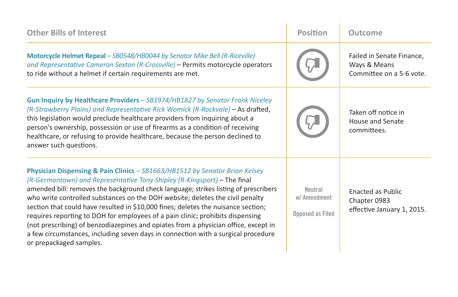| <b>Other Bills of Interest</b>                                                                                                                                                                                                                                                                                                                                                                                                                                                                                                                                                                                                                                                                                | <b>Position</b>                                    | Outcome                                                               |
|---------------------------------------------------------------------------------------------------------------------------------------------------------------------------------------------------------------------------------------------------------------------------------------------------------------------------------------------------------------------------------------------------------------------------------------------------------------------------------------------------------------------------------------------------------------------------------------------------------------------------------------------------------------------------------------------------------------|----------------------------------------------------|-----------------------------------------------------------------------|
| Motorcycle Helmet Repeal - SB0548/HB0044 by Senator Mike Bell (R-Riceville)<br>and Representative Cameron Sexton (R-Crossville) - Permits motorcycle operators<br>to ride without a helmet if certain requirements are met.                                                                                                                                                                                                                                                                                                                                                                                                                                                                                   |                                                    | Failed in Senate Finance,<br>Ways & Means<br>Committee on a 5-6 vote. |
| Gun Inquiry by Healthcare Providers - SB1974/HB1827 by Senator Frank Niceley<br>(R-Strawberry Plains) and Representative Rick Womick (R-Rockvale) – As drafted,<br>this legislation would preclude healthcare providers from inquiring about a<br>person's ownership, possession or use of firearms as a condition of receiving<br>healthcare, or refusing to provide healthcare, because the person declined to<br>answer such questions.                                                                                                                                                                                                                                                                    |                                                    | Taken off notice in<br>House and Senate<br>committees.                |
| Physician Dispensing & Pain Clinics - SB1663/HB1512 by Senator Brian Kelsey<br>(R-Germantown) and Representative Tony Shipley (R-Kingsport) – The final<br>amended bill: removes the background check language; strikes listing of prescribers<br>who write controlled substances on the DOH website; deletes the civil penalty<br>section that could have resulted in \$10,000 fines; deletes the nuisance section;<br>requires reporting to DOH for employees of a pain clinic; prohibits dispensing<br>(not prescribing) of benzodiazepines and opiates from a physician office, except in<br>a few circumstances, including seven days in connection with a surgical procedure<br>or prepackaged samples. | Neutral<br>w/ Amendment<br><b>Opposed as Filed</b> | Enacted as Public<br>Chapter 0983<br>effective January 1, 2015.       |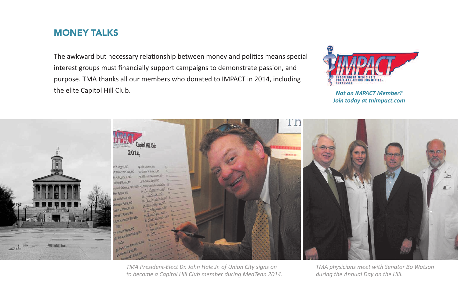### MONEY TALKS

The awkward but necessary relationship between money and politics means special interest groups must financially support campaigns to demonstrate passion, and purpose. TMA thanks all our members who donated to IMPACT in 2014, including the elite Capitol Hill Club.



*Not an IMPACT Member? Join today at tnimpact.com*



*TMA President-Elect Dr. John Hale Jr. of Union City signs on to become a Capitol Hill Club member during MedTenn 2014.*

*TMA physicians meet with Senator Bo Watson during the Annual Day on the Hill.*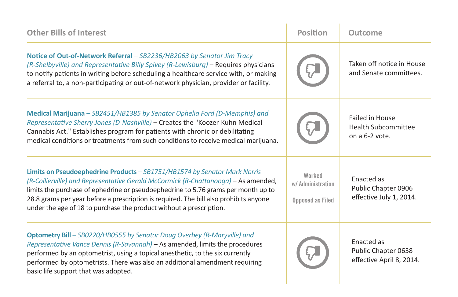| <b>Other Bills of Interest</b>                                                                                                                                                                                                                                                                                                                                                                                       | <b>Position</b>                                        | Outcome                                                                |
|----------------------------------------------------------------------------------------------------------------------------------------------------------------------------------------------------------------------------------------------------------------------------------------------------------------------------------------------------------------------------------------------------------------------|--------------------------------------------------------|------------------------------------------------------------------------|
| Notice of Out-of-Network Referral - SB2236/HB2063 by Senator Jim Tracy<br>(R-Shelbyville) and Representative Billy Spivey (R-Lewisburg) - Requires physicians<br>to notify patients in writing before scheduling a healthcare service with, or making<br>a referral to, a non-participating or out-of-network physician, provider or facility.                                                                       |                                                        | Taken off notice in House<br>and Senate committees.                    |
| Medical Marijuana - SB2451/HB1385 by Senator Ophelia Ford (D-Memphis) and<br>Representative Sherry Jones (D-Nashville) - Creates the "Koozer-Kuhn Medical<br>Cannabis Act." Establishes program for patients with chronic or debilitating<br>medical conditions or treatments from such conditions to receive medical marijuana.                                                                                     |                                                        | <b>Failed in House</b><br><b>Health Subcommittee</b><br>on a 6-2 vote. |
| Limits on Pseudoephedrine Products - SB1751/HB1574 by Senator Mark Norris<br>(R-Collierville) and Representative Gerald McCormick (R-Chattanooga) - As amended,<br>limits the purchase of ephedrine or pseudoephedrine to 5.76 grams per month up to<br>28.8 grams per year before a prescription is required. The bill also prohibits anyone<br>under the age of 18 to purchase the product without a prescription. | Worked<br>w/ Administration<br><b>Opposed as Filed</b> | Enacted as<br>Public Chapter 0906<br>effective July 1, 2014.           |
| Optometry Bill - SB0220/HB0555 by Senator Doug Overbey (R-Maryville) and<br>Representative Vance Dennis (R-Savannah) - As amended, limits the procedures<br>performed by an optometrist, using a topical anesthetic, to the six currently<br>performed by optometrists. There was also an additional amendment requiring<br>basic life support that was adopted.                                                     |                                                        | <b>Fnacted</b> as<br>Public Chapter 0638<br>effective April 8, 2014.   |